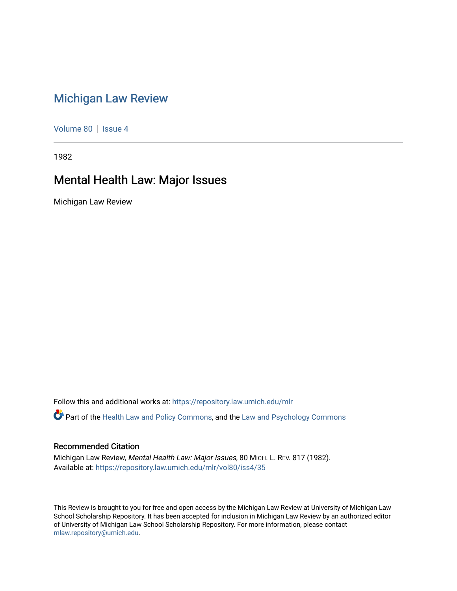## [Michigan Law Review](https://repository.law.umich.edu/mlr)

[Volume 80](https://repository.law.umich.edu/mlr/vol80) | [Issue 4](https://repository.law.umich.edu/mlr/vol80/iss4)

1982

## Mental Health Law: Major Issues

Michigan Law Review

Follow this and additional works at: [https://repository.law.umich.edu/mlr](https://repository.law.umich.edu/mlr?utm_source=repository.law.umich.edu%2Fmlr%2Fvol80%2Fiss4%2F35&utm_medium=PDF&utm_campaign=PDFCoverPages) 

Part of the [Health Law and Policy Commons](http://network.bepress.com/hgg/discipline/901?utm_source=repository.law.umich.edu%2Fmlr%2Fvol80%2Fiss4%2F35&utm_medium=PDF&utm_campaign=PDFCoverPages), and the [Law and Psychology Commons](http://network.bepress.com/hgg/discipline/870?utm_source=repository.law.umich.edu%2Fmlr%2Fvol80%2Fiss4%2F35&utm_medium=PDF&utm_campaign=PDFCoverPages) 

## Recommended Citation

Michigan Law Review, Mental Health Law: Major Issues, 80 MICH. L. REV. 817 (1982). Available at: [https://repository.law.umich.edu/mlr/vol80/iss4/35](https://repository.law.umich.edu/mlr/vol80/iss4/35?utm_source=repository.law.umich.edu%2Fmlr%2Fvol80%2Fiss4%2F35&utm_medium=PDF&utm_campaign=PDFCoverPages) 

This Review is brought to you for free and open access by the Michigan Law Review at University of Michigan Law School Scholarship Repository. It has been accepted for inclusion in Michigan Law Review by an authorized editor of University of Michigan Law School Scholarship Repository. For more information, please contact [mlaw.repository@umich.edu.](mailto:mlaw.repository@umich.edu)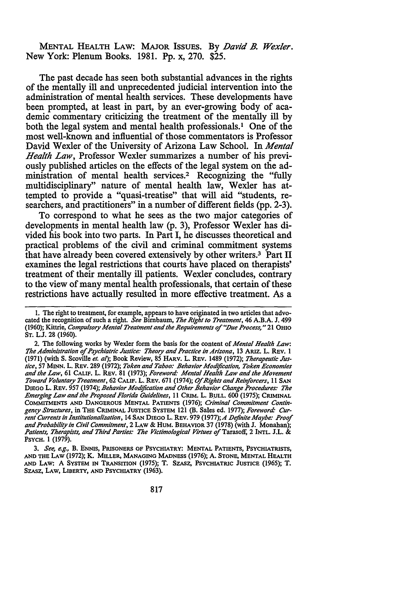MENTAL HEALTH LAW: MAJOR IssuEs. By *David B. Wexler.*  New York: Plenum Books. 1981. Pp. x, 270. \$25.

The past decade has seen both substantial advances in the rights of the mentally ill and unprecedented judicial intervention into the administration of mental health services. These developments have been prompted, at least in part, by an ever-growing body of academic commentary criticizing the treatment of the mentally ill by both the legal system and mental health professionals.<sup>1</sup> One of the most well-known and influential of those commentators is Professor David Wexler of the University of Arizona Law School. In *Mental Health Law,* Professor Wexler summarizes a number of his previously published articles on the effects of the legal system on the administration of mental health services.2 Recognizing the "fully multidisciplinary" nature of mental health law, Wexler has attempted to provide a "quasi-treatise" that will aid "students, researchers, and practitioners" in a number of different fields (pp. 2-3).

To correspond to what he sees as the two major categories of developments in mental health law (p. 3), Professor Wexler has divided his book into two parts. In Part I, he discusses theoretical and practical problems of the civil and criminal commitment systems that have already been covered extensively by other writers.3 Part II examines the legal restrictions that courts have placed on therapists' treatment of their mentally ill patients. Wexler concludes, contrary to the view of many mental health professionals, that certain of these restrictions have actually resulted in more effective treatment. As a

<sup>1.</sup> The right to treatment, for example, appears to have originated in two articles that advocated the recognition of such a right. *See* Birnbaum, *The Right to Treatment,* 46 A.B.A. J. 499 (1960); Kittrie, *Compulsory Mental Treatment and the Requirements of "Due Process,"* 21 OHIO ST. L.J. 28 (1960).

<sup>2.</sup> The following works by Wexler form the basis for the content of *Mental Health Law: The Administration of Psychiatric Justice: Theory and Practice in Arizona,* 13 ARIZ. L. REV. 1 (1971) (with S. Scoville *et. al);* Book Review, 85 HARV. L. REV. 1489 (1972); *Therapeutic Justice, 51* MINN. L. REV. 289 (1972); *Token and Taboo: Behavior Modification, Token Economies and the Law,* 61 CALIF. L. REV. 81 (1973); *Foreword· Mental Health Law and the Movement Toward Voluntary Treatment,* 62 CALIF. L. REV. 671 (1974); *Of Rights and Reinfarcers,* 11 SAN DIEGO L. REV. 957 (1974); *Behavior Modification and Other Behavior Change Procedures: The Emerging Law and the Proposed Florida Guidelines,* 11 CRIM. L. B\_ULL. 600 (1975); CRIMINAL COMMITMENTS AND DANGEROUS MENTAL PATIENTS (1976); *Criminal Commitment Contingency Structures,* in THE CRIMINAL JUSTICE SYSTEM 121 (B. Sales ed. 1977); *Foreword· Current Currents in Institutionalization,* 14 SAN DIEGO L. REV. 979 (1977);A *Definite Maybe: Proof and Probability in Civil Commitment,* 2 LAW & HUM. BEHAVIOR 37 (1978) (with J. Monahan); Patients, Therapists, and Third Parties: The Victimological Virtues of Tarasoff, 2 INTL. J.L. & PSYCH. 1 (1979).

<sup>3.</sup> *See, e.g.,* B. ENNIS, PRISONERS OF PSYCHIATRY: MENTAL PATIENTS, PSYCHIATRISTS, AND THE LAW (1972); K. MILLER, MANAGING MADNESS (1976); A. STONE, MENTAL HEALTH AND LAW: A SYSTEM IN TRANSITION (1975); T. SZASZ, PSYCHIATRIC JUSTICE (1965); T. SZASZ, LAW, LIBERTY, AND PSYCHIATRY (1963).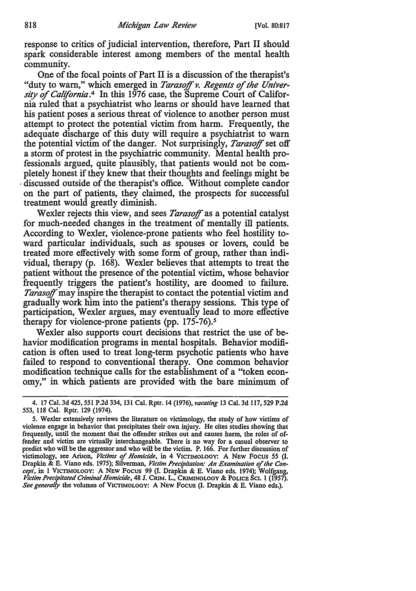response to critics of judicial intervention, therefore, Part II should spark considerable interest among members of the mental health community.

One of the focal points of Part II is a discussion of the therapist's "duty to warn," which emerged in *Tarasoff v. Regents of the Univer*sity of California<sup>4</sup> In this 1976 case, the Supreme Court of California ruled that a psychiatrist who learns or should have learned that his patient poses a serious threat of violence to another person must attempt to protect the potential victim from harm. Frequently, the adequate discharge of this duty will require a psychiatrist to warn the potential victim of the danger. Not surprisingly, *Tarasoff* set off a storm of protest in the psychiatric community. Mental health professionals argued, quite plausibly, that patients would not be completely honest if they knew that their thoughts and feelings might be • discussed outside of the therapist's office. Without complete candor on the part of patients, they claimed, the prospects for successful treatment would greatly diminish.

Wexler rejects this view, and sees *Tarasoff* as a potential catalyst for much-needed changes in the treatment of mentally ill patients. According to Wexler, violence-prone patients who feel hostility toward particular individuals, such as spouses or lovers, could be treated more effectively with some form of group, rather than individual, therapy (p. 168). Wexler believes that attempts to treat the patient without the presence of the potential victim, whose behavior frequently triggers the patient's hostility, are doomed to failure. *Tarasoff* may inspire the therapist to contact the potential victim and gradually work him into the patient's therapy sessions. This type of participation, Wexler argues, may eventually lead to more effective therapy for violence-prone patients (pp. 175-76).<sup>5</sup>

Wexler also supports court decisions that restrict the use of behavior modification programs in mental hospitals. Behavior modification is often used to treat long-term psychotic patients who have failed to respond to conventional therapy. One common behavior modification technique calls for the establishment of a "token economy," in which patients are provided with the bare minimum of

<sup>4. 17</sup> Cal. 3d 425,551 P.2d 334, 131 Cal. Rptr. 14 (1976), *vacating* 13 Cal. 3d 117,529 P.2d *553,* 118 Cal. Rptr. 129 (1974).

*<sup>5.</sup>* Wexler extensively reviews the literature on victimology, the study of how victims of violence engage in behavior that precipitates their own injury. He cites studies showing that frequently, until the moment that the offender strikes out and causes harm, the roles of offender and victim are virtually interchangeable. There is no way for a casual observer to predict who will be the aggressor and who will be the victim. P. 166. For further discussion of victimology, see Arison, *Victims* of *Homicide,* in 4 VICTIMOLOGY: A NEW Focus *55* (I. Drapkin & E. Viano eds. 1975); Silverman, *Victim Precipitation: An Examination* of *the Concept,* in l VICTIMOLOGY: A NEW Focus 99 (I. Drapkin & E. Viano eds. 1974); Wolfgang, *Victim Precipitated Criminal Homicide,* 48 J. CRIM. L., CRIMINOLOGY & POLICE Sc1. I (1957). *See generally* the volumes of VICTIMOLOGY: A NEW Focus (I. Drapkin & E. Viano eds,).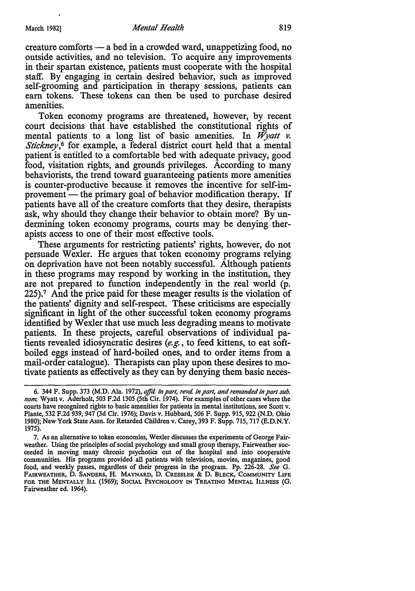creature comforts - a bed in a crowded ward, unappetizing food, no outside activities, and no television. To acquire any improvements in their spartan existence, patients must cooperate with the hospital staff. By engaging in certain desired behavior, such as improved self-grooming and participation in therapy sessions, patients can earn tokens. These tokens can then be used to purchase desired amenities.

Token economy programs are threatened, however, by recent court decisions that have established the constitutional rights of mental patients to a long list of basic amenities. In *Wyatt v*. *Stickney*,<sup>6</sup> for example, a federal district court held that a mental patient is entitled to a comfortable bed with adequate privacy, good food, visitation rights, and grounds privileges. According to many behaviorists, the trend toward guaranteeing patients more amenities is counter-productive because it removes the incentive for self-improvement — the primary goal of behavior modification therapy. If patients have all of the creature comforts that they desire, therapists ask, why should they change their behavior to obtain more? By undermining token economy programs, courts may be denying therapists access to one of their most effective tools.

These arguments for restricting patients' rights, however, do not persuade Wexler. He argues that token economy programs relying on deprivation have not been notably successful. Although patients in these programs may respond by working in the institution, they are not prepared to function independently in the real world (p. 225).7 And the price paid for these meager results is the violation of the patients' dignity and self-respect. These criticisms are especially significant in light of the other successful token economy programs identified by Wexler that use much less degrading means to motivate patients. In these projects, careful observations of individual patients revealed idiosyncratic desires (e.g., to feed kittens, to eat softboiled eggs instead of hard-boiled ones, and to order items from a mail-order catalogue). Therapists can play upon these desires to motivate patients as effectively as they can by denying them basic neces-

<sup>6. 344</sup> F. Supp. 373 (M.D. Ala. 1972), *ajfd. in part, revd. in part, and remanded in part sub. nom* Wyatt v. Aderholt, 503 F.2d 1305 (5th Cir. 1974). For examples of other cases where the courts have recognized rights to basic amenities for patients in mental institutions, see Scott v. Plante, 532 F.2d 939, 947 (3d Cir. 1976); Davis v. Hubbard, 506 F. Supp. 915, 922 (N.D. Ohio 1980); New York State Assn. for Retarded Children v. Carey, 393 F. Supp. 715, 717 (E.D.N.Y. 1975).

<sup>7.</sup> As an alternative to token economies, Wexler discusses the experiments of George Fairweather. Using the principles of social psychology and small group therapy, Fairweather succeeded in moving many chronic psychotics out of the hospital and into cooperative communities. His programs provided all patients with television, movies, magazines, good food, and weekly passes, regardless of their progress in the program. Pp. 226-28. *See* G. FAIRWEATHER, D. SANDERS, H. MAYNARD, D. CRESSLER & D. BLECK, COMMUNITY LIFE FOR THE MENTALLY ILL (1969); SOCIAL PSYCHOLOGY IN TREATING MENTAL ILLNESS (G. Fairweather ed. 1964).